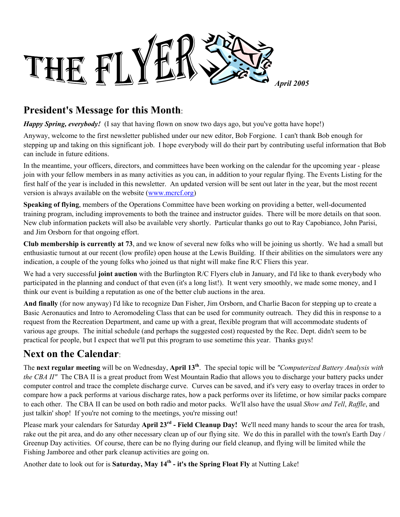

# **President's Message for this Month**:

*Happy Spring, everybody!* (I say that having flown on snow two days ago, but you've gotta have hope!)

Anyway, welcome to the first newsletter published under our new editor, Bob Forgione. I can't thank Bob enough for stepping up and taking on this significant job. I hope everybody will do their part by contributing useful information that Bob can include in future editions.

In the meantime, your officers, directors, and committees have been working on the calendar for the upcoming year - please join with your fellow members in as many activities as you can, in addition to your regular flying. The Events Listing for the first half of the year is included in this newsletter. An updated version will be sent out later in the year, but the most recent version is always available on the website (www.mcrcf.org)

**Speaking of flying**, members of the Operations Committee have been working on providing a better, well-documented training program, including improvements to both the trainee and instructor guides. There will be more details on that soon. New club information packets will also be available very shortly. Particular thanks go out to Ray Capobianco, John Parisi, and Jim Orsborn for that ongoing effort.

**Club membership is currently at 73**, and we know of several new folks who will be joining us shortly. We had a small but enthusiastic turnout at our recent (low profile) open house at the Lewis Building. If their abilities on the simulators were any indication, a couple of the young folks who joined us that night will make fine R/C Fliers this year.

We had a very successful **joint auction** with the Burlington R/C Flyers club in January, and I'd like to thank everybody who participated in the planning and conduct of that even (it's a long list!). It went very smoothly, we made some money, and I think our event is building a reputation as one of the better club auctions in the area.

**And finally** (for now anyway) I'd like to recognize Dan Fisher, Jim Orsborn, and Charlie Bacon for stepping up to create a Basic Aeronautics and Intro to Aeromodeling Class that can be used for community outreach. They did this in response to a request from the Recreation Department, and came up with a great, flexible program that will accommodate students of various age groups. The initial schedule (and perhaps the suggested cost) requested by the Rec. Dept. didn't seem to be practical for people, but I expect that we'll put this program to use sometime this year. Thanks guys!

# **Next on the Calendar**:

The **next regular meeting** will be on Wednesday, **April 13th**. The special topic will be *"Computerized Battery Analysis with the CBA II"* The CBA II is a great product from West Mountain Radio that allows you to discharge your battery packs under computer control and trace the complete discharge curve. Curves can be saved, and it's very easy to overlay traces in order to compare how a pack performs at various discharge rates, how a pack performs over its lifetime, or how similar packs compare to each other. The CBA II can be used on both radio and motor packs. We'll also have the usual *Show and Tell*, *Raffle*, and just talkin' shop! If you're not coming to the meetings, you're missing out!

Please mark your calendars for Saturday **April 23rd - Field Cleanup Day!** We'll need many hands to scour the area for trash, rake out the pit area, and do any other necessary clean up of our flying site. We do this in parallel with the town's Earth Day / Greenup Day activities. Of course, there can be no flying during our field cleanup, and flying will be limited while the Fishing Jamboree and other park cleanup activities are going on.

Another date to look out for is **Saturday, May 14th - it's the Spring Float Fly** at Nutting Lake!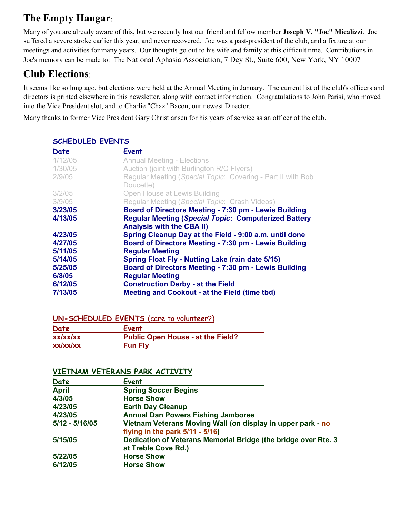# **The Empty Hangar**:

Many of you are already aware of this, but we recently lost our friend and fellow member **Joseph V. "Joe" Micalizzi**. Joe suffered a severe stroke earlier this year, and never recovered. Joe was a past-president of the club, and a fixture at our meetings and activities for many years. Our thoughts go out to his wife and family at this difficult time. Contributions in Joe's memory can be made to: The National Aphasia Association, 7 Dey St., Suite 600, New York, NY 10007

# **Club Elections**:

It seems like so long ago, but elections were held at the Annual Meeting in January. The current list of the club's officers and directors is printed elsewhere in this newsletter, along with contact information. Congratulations to John Parisi, who moved into the Vice President slot, and to Charlie "Chaz" Bacon, our newest Director.

Many thanks to former Vice President Gary Christiansen for his years of service as an officer of the club.

| Date    | <b>Event</b>                                                |
|---------|-------------------------------------------------------------|
| 1/12/05 | <b>Annual Meeting - Elections</b>                           |
| 1/30/05 | Auction (joint with Burlington R/C Flyers)                  |
| 2/9/05  | Regular Meeting (Special Topic: Covering - Part II with Bob |
|         | Doucette)                                                   |
| 3/2/05  | Open House at Lewis Building                                |
| 3/9/05  | Regular Meeting (Special Topic: Crash Videos)               |
| 3/23/05 | Board of Directors Meeting - 7:30 pm - Lewis Building       |
| 4/13/05 | <b>Regular Meeting (Special Topic: Computerized Battery</b> |
|         | <b>Analysis with the CBA II)</b>                            |
| 4/23/05 | Spring Cleanup Day at the Field - 9:00 a.m. until done      |
| 4/27/05 | Board of Directors Meeting - 7:30 pm - Lewis Building       |
| 5/11/05 | <b>Regular Meeting</b>                                      |
| 5/14/05 | <b>Spring Float Fly - Nutting Lake (rain date 5/15)</b>     |
| 5/25/05 | Board of Directors Meeting - 7:30 pm - Lewis Building       |
| 6/8/05  | <b>Regular Meeting</b>                                      |
| 6/12/05 | <b>Construction Derby - at the Field</b>                    |
| 7/13/05 | <b>Meeting and Cookout - at the Field (time tbd)</b>        |

## **SCHEDULED EVENTS**

### **UN-SCHEDULED EVENTS** (care to volunteer?)

| Date     | Event                                    |
|----------|------------------------------------------|
| xx/xx/xx | <b>Public Open House - at the Field?</b> |
| xx/xx/xx | <b>Fun Fly</b>                           |

### **VIETNAM VETERANS PARK ACTIVITY**

| Date             | Event                                                          |
|------------------|----------------------------------------------------------------|
| <b>April</b>     | <b>Spring Soccer Begins</b>                                    |
| 4/3/05           | <b>Horse Show</b>                                              |
| 4/23/05          | <b>Earth Day Cleanup</b>                                       |
| 4/23/05          | <b>Annual Dan Powers Fishing Jamboree</b>                      |
| $5/12 - 5/16/05$ | Vietnam Veterans Moving Wall (on display in upper park - no    |
|                  | flying in the park $5/11 - 5/16$ )                             |
| 5/15/05          | Dedication of Veterans Memorial Bridge (the bridge over Rte. 3 |
|                  | at Treble Cove Rd.)                                            |
| 5/22/05          | <b>Horse Show</b>                                              |
| 6/12/05          | <b>Horse Show</b>                                              |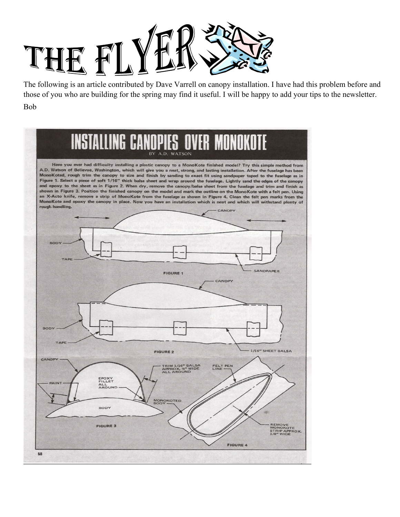

The following is an article contributed by Dave Varrell on canopy installation. I have had this problem before and those of you who are building for the spring may find it useful. I will be happy to add your tips to the newsletter. Bob